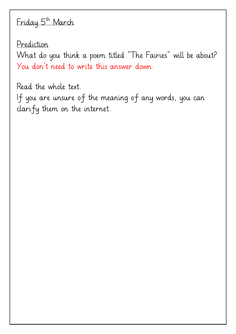## Friday 5th March

Prediction

What do you think a poem titled "The Fairies" will be about? You don't need to write this answer down.

Read the whole text. If you are unsure of the meaning of any words, you can clarify them on the internet.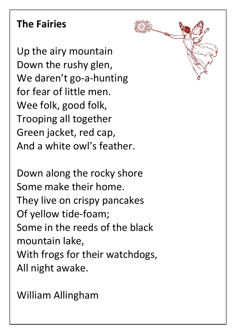# **The Fairies**

Up the airy mountain Down the rushy glen, We daren't go-a-hunting for fear of little men. Wee folk, good folk, Trooping all together Green jacket, red cap, And a white owl's feather.

Down along the rocky shore Some make their home. They live on crispy pancakes Of yellow tide-foam; Some in the reeds of the black mountain lake, With frogs for their watchdogs, All night awake.

William Allingham